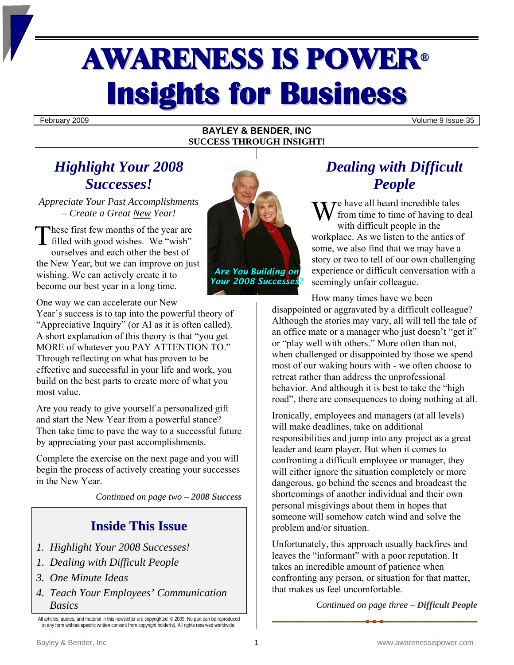# AWARENESS IS POWER<sup>ü</sup> **Insights for Business**

February 2009 Volume 9 Issue 35

#### **BAYLEY & BENDER, INC SUCCESS THROUGH INSIGHT!**

## *Highlight Your 2008 Successes!*

*Appreciate Your Past Accomplishments – Create a Great New Year!* 

hese first few months of the year are These first few months of the year are<br>filled with good wishes. We "wish" ourselves and each other the best of the New Year, but we can improve on just wishing. We can actively create it to become our best year in a long time.

One way we can accelerate our New

Year's success is to tap into the powerful theory of "Appreciative Inquiry" (or AI as it is often called). A short explanation of this theory is that "you get MORE of whatever you PAY ATTENTION TO." Through reflecting on what has proven to be effective and successful in your life and work, you build on the best parts to create more of what you most value.

Are you ready to give yourself a personalized gift and start the New Year from a powerful stance? Then take time to pave the way to a successful future by appreciating your past accomplishments.

Complete the exercise on the next page and you will begin the process of actively creating your successes in the New Year.

*Continued on page two – 2008 Success* 

## **Inside This Issue**

- *1. Highlight Your 2008 Successes!*
- *1. Dealing with Difficult People*
- *3. One Minute Ideas*
- *4. Teach Your Employees' Communication Basics*

All articles, quotes, and material in this newsletter are copyrighted. © 2009. No part can be reproduced in any form without specific written consent from copyright holder(s). All rights reserved worldwide.



*Your 2008 Successes?* 

## *Dealing with Difficult People*

 $\mathbf{W}^{\text{e have all heard incredible tales}}$ <br>trom time to time of having to d<br>with difficult poople in the from time to time of having to deal with difficult people in the workplace. As we listen to the antics of some, we also find that we may have a story or two to tell of our own challenging experience or difficult conversation with a seemingly unfair colleague.

How many times have we been disappointed or aggravated by a difficult colleague? Although the stories may vary, all will tell the tale of an office mate or a manager who just doesn't "get it" or "play well with others." More often than not, when challenged or disappointed by those we spend most of our waking hours with - we often choose to retreat rather than address the unprofessional behavior. And although it is best to take the "high road", there are consequences to doing nothing at all.

Ironically, employees and managers (at all levels) will make deadlines, take on additional responsibilities and jump into any project as a great leader and team player. But when it comes to confronting a difficult employee or manager, they will either ignore the situation completely or more dangerous, go behind the scenes and broadcast the shortcomings of another individual and their own personal misgivings about them in hopes that someone will somehow catch wind and solve the problem and/or situation.

Unfortunately, this approach usually backfires and leaves the "informant" with a poor reputation. It takes an incredible amount of patience when confronting any person, or situation for that matter, that makes us feel uncomfortable.

*Continued on page three – Difficult People*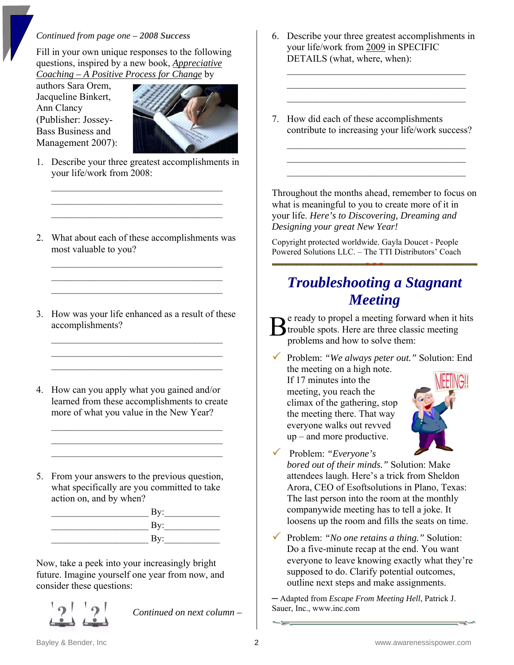#### *Continued from page one – 2008 Success*

Fill in your own unique responses to the following questions, inspired by a new book, *Appreciative Coaching – A Positive Process for Change* by

authors Sara Orem, Jacqueline Binkert, Ann Clancy (Publisher: Jossey-Bass Business and Management 2007):



1. Describe your three greatest accomplishments in your life/work from 2008:

 $\mathcal{L}_\text{max}$  $\mathcal{L}_\text{max}$  , where  $\mathcal{L}_\text{max}$  and  $\mathcal{L}_\text{max}$  $\mathcal{L}_\text{max}$  , where  $\mathcal{L}_\text{max}$  and  $\mathcal{L}_\text{max}$ 

2. What about each of these accomplishments was most valuable to you?

 $\mathcal{L}_\text{max}$  $\mathcal{L}_\text{max}$  $\mathcal{L}_\text{max}$ 

3. How was your life enhanced as a result of these accomplishments?

 $\mathcal{L}_\text{max}$ 

4. How can you apply what you gained and/or learned from these accomplishments to create more of what you value in the New Year?

 $\mathcal{L}_\text{max}$  $\mathcal{L}_\text{max}$  $\mathcal{L}_\text{max}$ 

5. From your answers to the previous question, what specifically are you committed to take action on, and by when?

| By:                       |
|---------------------------|
| $\mathbf{By:}$            |
| $\mathbf{B} \mathbf{v}$ : |

Now, take a peek into your increasingly bright future. Imagine yourself one year from now, and consider these questions:



*Continued on next column –* 

6. Describe your three greatest accomplishments in your life/work from 2009 in SPECIFIC DETAILS (what, where, when):

 $\mathcal{L}_\text{max}$  $\mathcal{L}_\text{max}$ \_\_\_\_\_\_\_\_\_\_\_\_\_\_\_\_\_\_\_\_\_\_\_\_\_\_\_\_\_\_\_\_\_\_\_\_\_

7. How did each of these accomplishments contribute to increasing your life/work success?

 $\mathcal{L}_\text{max}$  , where  $\mathcal{L}_\text{max}$  and  $\mathcal{L}_\text{max}$  and  $\mathcal{L}_\text{max}$  $\mathcal{L}_\text{max}$  , where  $\mathcal{L}_\text{max}$  and  $\mathcal{L}_\text{max}$  and  $\mathcal{L}_\text{max}$  $\mathcal{L}_\text{max}$ 

Throughout the months ahead, remember to focus on what is meaningful to you to create more of it in your life. *Here's to Discovering, Dreaming and Designing your great New Year!* 

Copyright protected worldwide. Gayla Doucet - People Powered Solutions LLC. – The TTI Distributors' Coach

## *Troubleshooting a Stagnant Meeting*

e ready to propel a meeting forward when it hits  $B$ <sup>e</sup> ready to propel a meeting forward when it  $B$ <br>trouble spots. Here are three classic meeting<br>roblems and how to solve them: problems and how to solve them:

3 Problem: *"We always peter out."* Solution: End the meeting on a high note.

If 17 minutes into the meeting, you reach the climax of the gathering, stop the meeting there. That way everyone walks out revved up – and more productive.



3 Problem: *"Everyone's* 

*bored out of their minds."* Solution: Make attendees laugh. Here's a trick from Sheldon Arora, CEO of Esoftsolutions in Plano, Texas: The last person into the room at the monthly companywide meeting has to tell a joke. It loosens up the room and fills the seats on time.

3 Problem: *"No one retains a thing."* Solution: Do a five-minute recap at the end. You want everyone to leave knowing exactly what they're supposed to do. Clarify potential outcomes, outline next steps and make assignments.

─ Adapted from *Escape From Meeting Hell*, Patrick J. Sauer, Inc., www.inc.com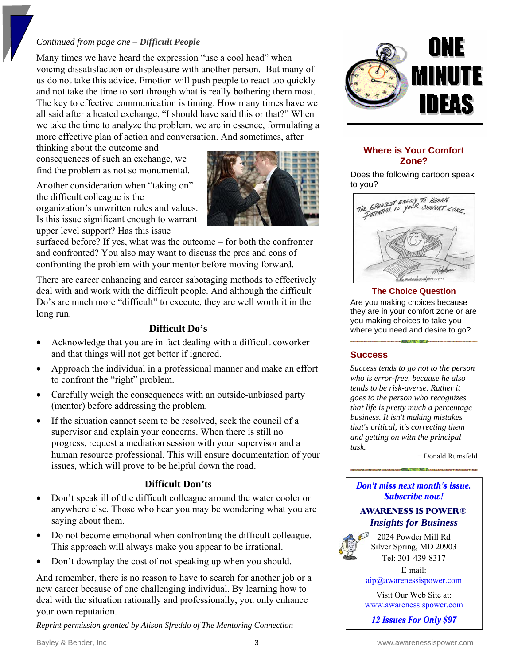#### *Continued from page one – Difficult People*

Many times we have heard the expression "use a cool head" when voicing dissatisfaction or displeasure with another person. But many of us do not take this advice. Emotion will push people to react too quickly and not take the time to sort through what is really bothering them most. The key to effective communication is timing. How many times have we all said after a heated exchange, "I should have said this or that?" When we take the time to analyze the problem, we are in essence, formulating a more effective plan of action and conversation. And sometimes, after

thinking about the outcome and consequences of such an exchange, we find the problem as not so monumental.

Another consideration when "taking on" the difficult colleague is the organization's unwritten rules and values. Is this issue significant enough to warrant upper level support? Has this issue



surfaced before? If yes, what was the outcome – for both the confronter and confronted? You also may want to discuss the pros and cons of confronting the problem with your mentor before moving forward.

There are career enhancing and career sabotaging methods to effectively deal with and work with the difficult people. And although the difficult Do's are much more "difficult" to execute, they are well worth it in the long run.

### **Difficult Do's**

- Acknowledge that you are in fact dealing with a difficult coworker and that things will not get better if ignored.
- Approach the individual in a professional manner and make an effort to confront the "right" problem.
- Carefully weigh the consequences with an outside-unbiased party (mentor) before addressing the problem.
- If the situation cannot seem to be resolved, seek the council of a supervisor and explain your concerns. When there is still no progress, request a mediation session with your supervisor and a human resource professional. This will ensure documentation of your issues, which will prove to be helpful down the road.

#### **Difficult Don'ts**

- Don't speak ill of the difficult colleague around the water cooler or anywhere else. Those who hear you may be wondering what you are saying about them.
- Do not become emotional when confronting the difficult colleague. This approach will always make you appear to be irrational.
- Don't downplay the cost of not speaking up when you should.

And remember, there is no reason to have to search for another job or a new career because of one challenging individual. By learning how to deal with the situation rationally and professionally, you only enhance your own reputation.

*Reprint permission granted by Alison Sfreddo of The Mentoring Connection* 



#### **Where is Your Comfort Zone?**

Does the following cartoon speak to you?



#### **The Choice Question**

Are you making choices because they are in your comfort zone or are you making choices to take you where you need and desire to go?

#### **Success**

*Success tends to go not to the person who is error-free, because he also tends to be risk-averse. Rather it goes to the person who recognizes that life is pretty much a percentage business. It isn't making mistakes that's critical, it's correcting them and getting on with the principal task.*

− Donald Rumsfeld

#### Don't miss next month's issue. **Subscribe now!**

#### **AWARENESS IS POWER®** *Insights for Business*

2024 Powder Mill Rd Silver Spring, MD 20903 Tel: 301-439-8317

E-mail:

[aip@awarenessispower.com](mailto:aip@awarenessispower.com)

Visit Our Web Site at: [www.awarenessispower.com](http://www.awarenessispower.com/)

12 **Issues For Only \$97**